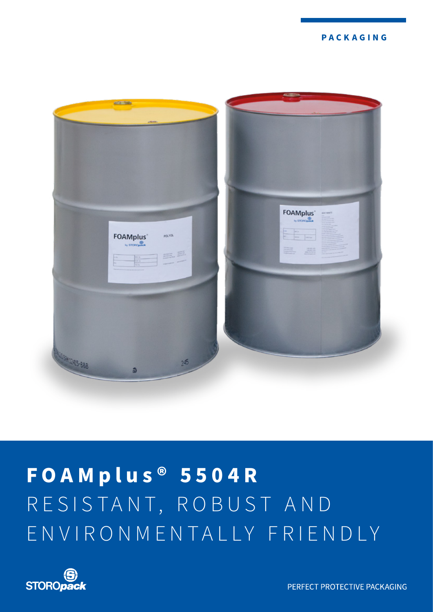**PACKAGING**



# **FOAMplus ® 5504R** RESISTANT, ROBUST AND ENVIRONMENTALLY FRIENDLY



PERFECT PROTECTIVE PACKAGING